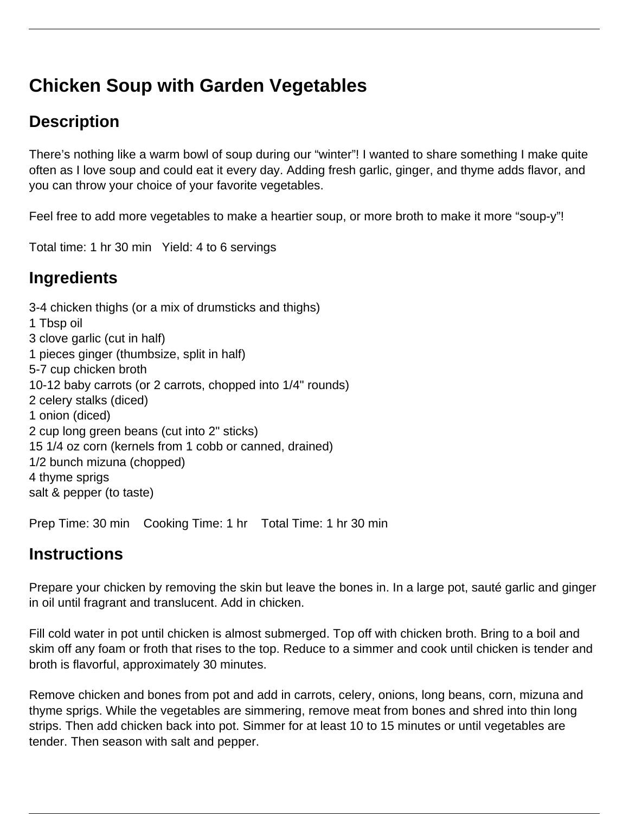# **Chicken Soup with Garden Vegetables**

## **Description**

There's nothing like a warm bowl of soup during our "winter"! I wanted to share something I make quite often as I love soup and could eat it every day. Adding fresh garlic, ginger, and thyme adds flavor, and you can throw your choice of your favorite vegetables.

Feel free to add more vegetables to make a heartier soup, or more broth to make it more "soup-y"!

Total time: 1 hr 30 min Yield: 4 to 6 servings

### **Ingredients**

3-4 chicken thighs (or a mix of drumsticks and thighs) 1 Tbsp oil 3 clove garlic (cut in half) 1 pieces ginger (thumbsize, split in half) 5-7 cup chicken broth 10-12 baby carrots (or 2 carrots, chopped into 1/4" rounds) 2 celery stalks (diced) 1 onion (diced) 2 cup long green beans (cut into 2" sticks) 15 1/4 oz corn (kernels from 1 cobb or canned, drained) 1/2 bunch mizuna (chopped) 4 thyme sprigs salt & pepper (to taste)

Prep Time: 30 min Cooking Time: 1 hr Total Time: 1 hr 30 min

### **Instructions**

Prepare your chicken by removing the skin but leave the bones in. In a large pot, sauté garlic and ginger in oil until fragrant and translucent. Add in chicken.

Fill cold water in pot until chicken is almost submerged. Top off with chicken broth. Bring to a boil and skim off any foam or froth that rises to the top. Reduce to a simmer and cook until chicken is tender and broth is flavorful, approximately 30 minutes.

Remove chicken and bones from pot and add in carrots, celery, onions, long beans, corn, mizuna and thyme sprigs. While the vegetables are simmering, remove meat from bones and shred into thin long strips. Then add chicken back into pot. Simmer for at least 10 to 15 minutes or until vegetables are tender. Then season with salt and pepper.